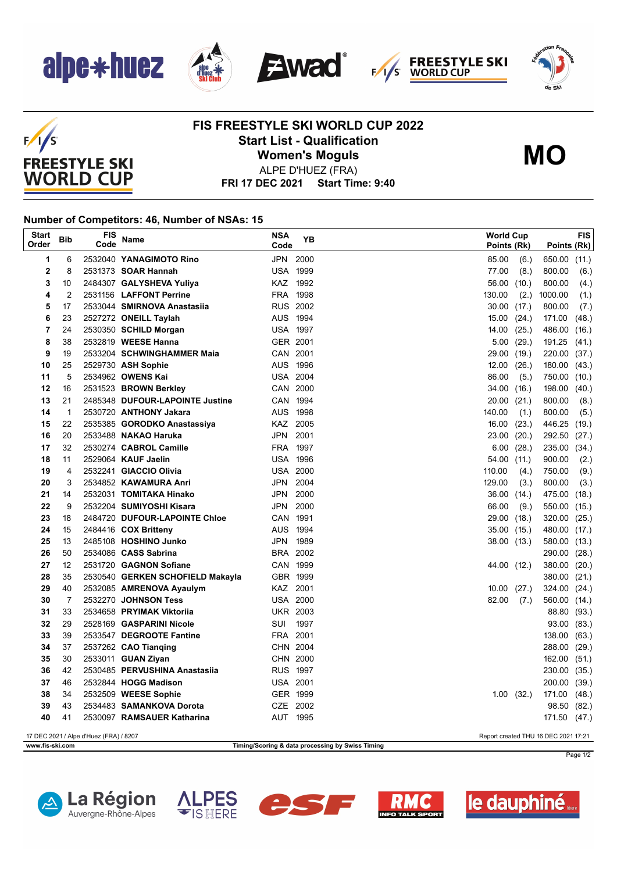

 $F/1/S$ 

**FREESTYLE SKI WORLD CUP** 







## **FIS FREESTYLE SKI WORLD CUP 2022 Start List - Qualification Women's Moguls**



ALPE D'HUEZ (FRA)

**FRI 17 DEC 2021 Start Time: 9:40**

## **Number of Competitors: 46, Number of NSAs: 15**

| <b>Start</b><br>Order                                                          | <b>Bib</b>     | FIS<br>Code | Name                             | NSA<br>Code     | YΒ   |        | World Cup<br>Points (Rk) | Points (Rk)  | FIS   |
|--------------------------------------------------------------------------------|----------------|-------------|----------------------------------|-----------------|------|--------|--------------------------|--------------|-------|
| 1                                                                              | 6              |             | 2532040 YANAGIMOTO Rino          | JPN 2000        |      | 85.00  | (6.)                     | 650.00 (11.) |       |
| $\mathbf 2$                                                                    | 8              |             | 2531373 <b>SOAR Hannah</b>       | <b>USA 1999</b> |      | 77.00  | (8.)                     | 800.00       | (6.)  |
| 3                                                                              | 10             |             | 2484307 GALYSHEVA Yuliya         | KAZ 1992        |      | 56.00  | (10.)                    | 800.00       | (4.)  |
| 4                                                                              | $\overline{2}$ |             | 2531156 LAFFONT Perrine          | FRA 1998        |      | 130.00 | (2.)                     | 1000.00      | (1.)  |
| 5                                                                              | 17             |             | 2533044 SMIRNOVA Anastasiia      | <b>RUS 2002</b> |      | 30.00  | (17.)                    | 800.00       | (7.)  |
| 6                                                                              | 23             |             | 2527272 ONEILL Taylah            | AUS 1994        |      | 15.00  | (24.)                    | 171.00       | (48.) |
| 7                                                                              | 24             |             | 2530350 SCHILD Morgan            | <b>USA 1997</b> |      | 14.00  | (25.)                    | 486.00       | (16.) |
| 8                                                                              | 38             |             | 2532819 WEESE Hanna              | GER 2001        |      | 5.00   | (29.)                    | 191.25       | (41.) |
| 9                                                                              | 19             |             | 2533204 SCHWINGHAMMER Maia       | CAN 2001        |      | 29.00  | (19.)                    | 220.00 (37.) |       |
| 10                                                                             | 25             |             | 2529730 ASH Sophie               | AUS 1996        |      | 12.00  | (26.)                    | 180.00       | (43.) |
| 11                                                                             | 5              |             | 2534962 OWENS Kai                | <b>USA 2004</b> |      | 86.00  | (5.)                     | 750.00 (10.) |       |
| 12                                                                             | 16             |             | 2531523 BROWN Berkley            | CAN 2000        |      | 34.00  | (16.)                    | 198.00       | (40.) |
| 13                                                                             | 21             |             | 2485348 DUFOUR-LAPOINTE Justine  | CAN 1994        |      | 20.00  | (21.)                    | 800.00       | (8.)  |
| 14                                                                             | $\mathbf{1}$   |             | 2530720 ANTHONY Jakara           | AUS 1998        |      | 140.00 | (1.)                     | 800.00       | (5.)  |
| 15                                                                             | 22             |             | 2535385 GORODKO Anastassiya      | KAZ 2005        |      | 16.00  | (23.)                    | 446.25 (19.) |       |
| 16                                                                             | 20             |             | 2533488 NAKAO Haruka             | JPN 2001        |      | 23.00  | (20.)                    | 292.50 (27.) |       |
| 17                                                                             | 32             |             | 2530274 CABROL Camille           | FRA 1997        |      | 6.00   | (28.)                    | 235.00 (34.) |       |
| 18                                                                             | 11             |             | 2529064 KAUF Jaelin              | <b>USA 1996</b> |      | 54.00  | (11.)                    | 900.00       | (2.)  |
| 19                                                                             | 4              |             | 2532241 GIACCIO Olivia           | <b>USA 2000</b> |      | 110.00 | (4.)                     | 750.00       | (9.)  |
| 20                                                                             | 3              |             | 2534852 KAWAMURA Anri            | JPN 2004        |      | 129.00 | (3.)                     | 800.00       | (3.)  |
| 21                                                                             | 14             |             | 2532031 TOMITAKA Hinako          | JPN 2000        |      | 36.00  | (14.)                    | 475.00 (18.) |       |
| 22                                                                             | 9              |             | 2532204 SUMIYOSHI Kisara         | JPN             | 2000 | 66.00  | (9.)                     | 550.00 (15.) |       |
| 23                                                                             | 18             |             | 2484720 DUFOUR-LAPOINTE Chloe    | CAN 1991        |      | 29.00  | (18.)                    | 320.00 (25.) |       |
| 24                                                                             | 15             |             | 2484416 COX Britteny             | AUS 1994        |      | 35.00  | (15.)                    | 480.00 (17.) |       |
| 25                                                                             | 13             |             | 2485108 HOSHINO Junko            | JPN             | 1989 | 38.00  | (13.)                    | 580.00 (13.) |       |
| 26                                                                             | 50             |             | 2534086 CASS Sabrina             | BRA 2002        |      |        |                          | 290.00 (28.) |       |
| 27                                                                             | 12             |             | 2531720 GAGNON Sofiane           | CAN 1999        |      | 44.00  | (12.)                    | 380.00 (20.) |       |
| 28                                                                             | 35             |             | 2530540 GERKEN SCHOFIELD Makayla | GBR 1999        |      |        |                          | 380.00 (21.) |       |
| 29                                                                             | 40             |             | 2532085 AMRENOVA Ayaulym         | KAZ 2001        |      | 10.00  | (27.)                    | 324.00 (24.) |       |
| 30                                                                             | 7              |             | 2532270 JOHNSON Tess             | <b>USA 2000</b> |      | 82.00  | (7.)                     | 560.00 (14.) |       |
| 31                                                                             | 33             |             | 2534658 PRYIMAK Viktorija        | <b>UKR 2003</b> |      |        |                          | 88.80 (93.)  |       |
| 32                                                                             | 29             |             | 2528169 GASPARINI Nicole         | SUI             | 1997 |        |                          | 93.00 (83.)  |       |
| 33                                                                             | 39             |             | 2533547 DEGROOTE Fantine         | FRA 2001        |      |        |                          | 138.00       | (63.) |
| 34                                                                             | 37             |             | 2537262 CAO Tianqing             | CHN 2004        |      |        |                          | 288.00 (29.) |       |
| 35                                                                             | 30             |             | 2533011 GUAN Ziyan               | CHN 2000        |      |        |                          | 162.00       | (51.) |
| 36                                                                             | 42             |             | 2530485 PERVUSHINA Anastasija    | <b>RUS 1997</b> |      |        |                          | 230.00 (35.) |       |
| 37                                                                             | 46             |             | 2532844 HOGG Madison             | <b>USA 2001</b> |      |        |                          | 200.00 (39.) |       |
| 38                                                                             | 34             |             | 2532509 WEESE Sophie             | GER 1999        |      |        | 1.00(32.)                | 171.00       | (48.) |
| 39                                                                             | 43             |             | 2534483 SAMANKOVA Dorota         | CZE 2002        |      |        |                          | 98.50 (82.)  |       |
| 40                                                                             | 41             |             | 2530097 RAMSAUER Katharina       | AUT 1995        |      |        |                          | 171.50 (47.) |       |
| 17 DEC 2021 / Alpe d'Huez (FRA) / 8207<br>Report created THU 16 DEC 2021 17:21 |                |             |                                  |                 |      |        |                          |              |       |
| www.fis-ski.com<br>Timing/Scoring & data processing by Swiss Timing            |                |             |                                  |                 |      |        |                          |              |       |